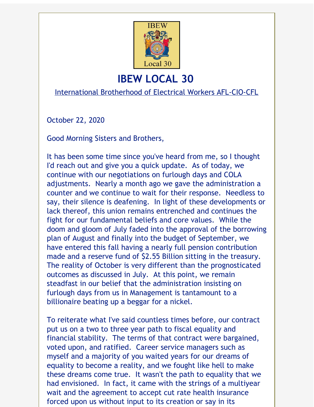

## **IBEW LOCAL 30**

International Brotherhood of Electrical Workers AFL-CIO-CFL

October 22, 2020

Good Morning Sisters and Brothers,

It has been some time since you've heard from me, so I thought I'd reach out and give you a quick update. As of today, we continue with our negotiations on furlough days and COLA adjustments. Nearly a month ago we gave the administration a counter and we continue to wait for their response. Needless to say, their silence is deafening. In light of these developments or lack thereof, this union remains entrenched and continues the fight for our fundamental beliefs and core values. While the doom and gloom of July faded into the approval of the borrowing plan of August and finally into the budget of September, we have entered this fall having a nearly full pension contribution made and a reserve fund of \$2.55 Billion sitting in the treasury. The reality of October is very different than the prognosticated outcomes as discussed in July. At this point, we remain steadfast in our belief that the administration insisting on furlough days from us in Management is tantamount to a billionaire beating up a beggar for a nickel.

To reiterate what I've said countless times before, our contract put us on a two to three year path to fiscal equality and financial stability. The terms of that contract were bargained, voted upon, and ratified. Career service managers such as myself and a majority of you waited years for our dreams of equality to become a reality, and we fought like hell to make these dreams come true. It wasn't the path to equality that we had envisioned. In fact, it came with the strings of a multiyear wait and the agreement to accept cut rate health insurance forced upon us without input to its creation or say in its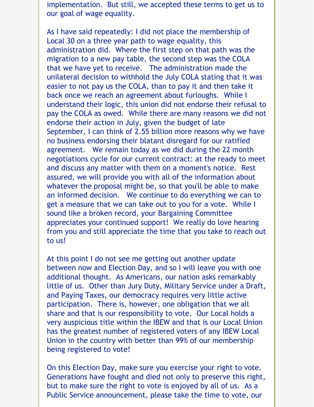implementation. But still, we accepted these terms to get us to our goal of wage equality.

As I have said repeatedly: I did not place the membership of Local 30 on a three year path to wage equality, this administration did. Where the first step on that path was the migration to a new pay table, the second step was the COLA that we have yet to receive. The administration made the unilateral decision to withhold the July COLA stating that it was easier to not pay us the COLA, than to pay it and then take it back once we reach an agreement about furloughs. While I understand their logic, this union did not endorse their refusal to pay the COLA as owed. While there are many reasons we did not endorse their action in July, given the budget of late September, I can think of 2.55 billion more reasons why we have no business endorsing their blatant disregard for our ratified agreement. We remain today as we did during the 22 month negotiations cycle for our current contract: at the ready to meet and discuss any matter with them on a moment's notice. Rest assured, we will provide you with all of the information about whatever the proposal might be, so that you'll be able to make an informed decision. We continue to do everything we can to get a measure that we can take out to you for a vote. While I sound like a broken record, your Bargaining Committee appreciates your continued support! We really do love hearing from you and still appreciate the time that you take to reach out to us!

At this point I do not see me getting out another update between now and Election Day, and so I will leave you with one additional thought. As Americans, our nation asks remarkably little of us. Other than Jury Duty, Military Service under a Draft, and Paying Taxes, our democracy requires very little active participation. There is, however, one obligation that we all share and that is our responsibility to vote. Our Local holds a very auspicious title within the IBEW and that is our Local Union has the greatest number of registered voters of any IBEW Local Union in the country with better than 99% of our membership being registered to vote!

On this Election Day, make sure you exercise your right to vote. Generations have fought and died not only to preserve this right, but to make sure the right to vote is enjoyed by all of us. As a Public Service announcement, please take the time to vote, our